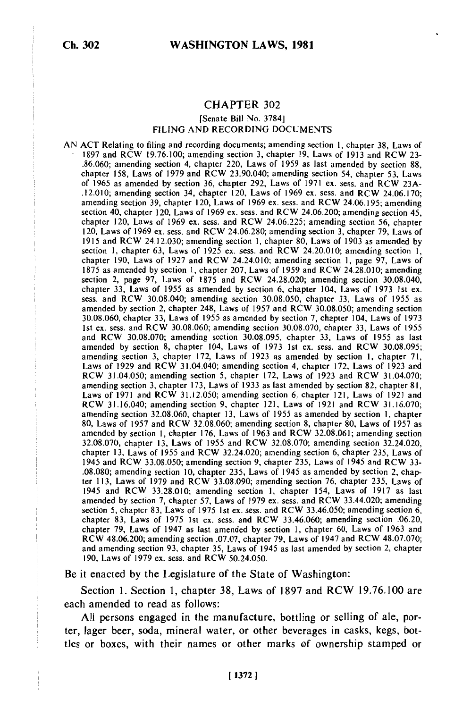## **CHAPTER 302**

## [Senate Bill No. **3784] FILING AND** RECORDING **DOCUMENTS**

**AN ACT** Relating to filing and recording documents; amending section **1,** chapter **38,** Laws of **1897** and RCW **19.76.100;** amending section **3,** chapter **19,** Laws of **1913** and RCW **23- .887 and RCW 19.70.100; amending section 5, chapter 19, Laws of 1913 and RCW 23.**<br>86.060; **amending section 4, chapter 220, Laws of 1950** as last a med 1.1. chapter **158,** Laws of **1979** and RCW 23.90.040; amending section 54, chapter **53,** Laws of **1965** as amended **by** section **36,** chapter **292,** Laws of **1971** ex. sess. and RCW **23A-** .12.010; amending section 34, chapter 120, Laws of **1969** ex. sess. and RCW 24.06.170; amending section **39,** chapter 120, Laws of **1969** ex. sess. and RCW 24.06.195; amending amending section 39, chapter 120, Laws of 1969 ex. sess. and RCW 24.06.195; amending section 40, chapter 120, Laws of 1969 ex. sess. and RCW 24.06.200; amending section 45, section 40, Chapter 120, Laws of 1969 ex. sess. and RCW 24.06.200; amending section 45, chapter 120, chapter  $\frac{1}{20}$  $120, 120, 1968$  of 1969 ex. sess. and RCW 24.06.220; amending section 36, chapter 70, Laws of 1960 ex. sess. and RCW 24.06.290; according and the state 79, Laws of 120, Laws of 1969 ex. sess. and RCW 24.06.280; amending section 3, chapter 79, Laws of 1915 and RCW 24.12.030; amending section 1, chapter 80, Laws of 1903 as amended by section 1, chapter 63, Laws of 1925 ex. sess. and RCW 24.20.010; amending section **1,** section 1, chapter 05, Laws of 1925 cx. Sess. and RCW 24.20.010; amending section 1, page 97, Laws of 1875 as amended by section **1,** chapter 207, Laws of 1959 and RCW 24.28.010; amending section 2, page 97, Laws of 1875 and RCW 24.28.010; amending section 3.3.040, amending section 30.08.040,  $\frac{1}{2}$ control 2, page 37, Laws of 1013 and KCW 24.26.020; amending section 30.06.040. chapter 33, Laws of 1955 as amended by section 6, chapter 104, Laws of 1973 1st ex.<br>sess. and RCW 30.08.040; amending section 30.08.050, chapter 33, Laws of 1955 as sess. and RCW 30.08.040; amending section 30.08.050, chapter 33, Laws of 1955 as amended by section 2, chapter 248, Laws of 1957 and RCW 30.08.050; amending section 30.08.060, chapter 33, Laws of 1955 as amended by section 7, chapter 104, Laws of 1973 1st ex. sess. and RCW 30.08.060; amending section 30.08.070, chapter 33, Laws of 1955 and RCW 30.08.070; amending section 30.08.090/0, chapter 33, Laws of 1955<br>and RCW 30.08.070; amending section 30.08.095, chapter 33, Laws of 1955, as last and RCW 30.06.070; amending section 30.08.095, chapter 33, Laws of 1955 as last and results of the section 8, chapter 104, Laws of 1073, let an access and RCW 30.09.005; amended by section 5, chapter 104, Laws of 1975 1st ex. sess. and RCW 30.06.095<br>amending section 2, chapter 172, Laws of 1022 as amended by section 1, chapter 71, amending section 3, chapter 172, Laws of 1923 as amended by section 1, chapter 71,  $\frac{1}{2}$ Laws of 1929 and RCW 31.04.040; amending section 4, chapter 172, Laws of 1923 and RCW 31.04.070;  $\mu$ C  $\sigma$  31.04.050, amending section 5, chapter 172, Laws of 1925 and KC  $\sigma$  31.04.070.<br>Consider section 3, chapter 173, Laws of 1933 as last amended by section 83, chapter 81, amending section 5, chapter 175, Laws of 1955 as last amended by section 82, chapter 81,<br>Laws of 1971 and RCW 31.12.050; amending section 6, chapter 121, Laws of 1921, cal  $R_{\text{C}}$  and  $R_{\text{C}}$  and  $R_{\text{C}}$  and  $R_{\text{C}}$  and  $R_{\text{C}}$  and  $R_{\text{C}}$  and  $R_{\text{C}}$  and  $R_{\text{C}}$  and  $R_{\text{C}}$  and  $R_{\text{C}}$  and  $R_{\text{C}}$  and  $R_{\text{C}}$  and  $R_{\text{C}}$  and  $R_{\text{C}}$  and  $R_{\text{C}}$  and  $R_{\text{C}}$  a  $\kappa$ CW 31.10.040, amending section 9, chapter 121, Laws of 1921 and  $\kappa$ CW 31.10.070;<br>amending section 22.08.060, chapter 12, Laws of 1955 as amended by section 1, chapter amending section 32.08.060, chapter 13, Laws of 1955 as amended by section 1, chapter 80, Laws of 1957 and BCW 33.08.060; amending section 80, Laws of 1957 and ay, Laws of 1957 and RCW 32.06.060; amending section 8, chapter 80, Laws of 1957 as<br>amended by section 1, chapter 176, Laws of 1062 and BCW 32.08.061; amending section  $32.08.091$ ; chapter 170, Laws of 1903 and RCW 32.08.001; amending section  $32.24.020$ ,  $32.08.070$ , and  $32.24.020$ , 32.08.070, Chapter 13, Laws of 1955 and RCW 32.08.070; amending section 32.24.020,<br>chapter 13, Laws of 1955 and DCW 33.34.030; amending section 6, chapter 335, Laws of chapter 13, Laws of 1955 and RCW 32.24.020; amending section 6, chapter 235, Laws of 1945 and RCW 33.08.050; amending section 9, chapter 235, Laws of 1945 and RCW 33-.08.080; amending section 10, chapter 235, Laws of 1945 as amended by section 2, chapter 113, Laws of 1979 and RCW 33.08.090; amending section 76, chapter 235, Laws of 1945 and RCW 33.28.010; amending section 1, chapter 154, Laws of 1917 as last amended by section 7, chapter 57, Laws of 1979 ex. sess. and RCW 33.44.020; amending section 5, chapter 83, Laws of 1975 1st ex. sess. and RCW 33.46.050; amending section  $6$ , chapter 83, Laws of 1975 1st ex. sess. and RCW 33.46.060; amending section .06.20, chapter 79, Laws of 1947 as last amended by section 1, chapter 60, Laws of 1963 and RCW 48.06.200; amending section .07.07, chapter 79, Laws of 1947 and RCW 48.07.070; and amending section 93, chapter 35, Laws of 1945 as last amended by section 2, chapter 190, Laws of 1979 ex. sess. and RCW 50.24.050.

Be it enacted by the Legislature of the State of Washington:

Section 1. Section 1, chapter 38, Laws of 1897 and RCW 19.76.100 are each amended to read as follows:

All persons engaged in the manufacture, bottling or selling of ale, porter, lager beer, soda, mineral water, or other beverages in casks, kegs, bottles or boxes, with their names or other marks of ownership stamped or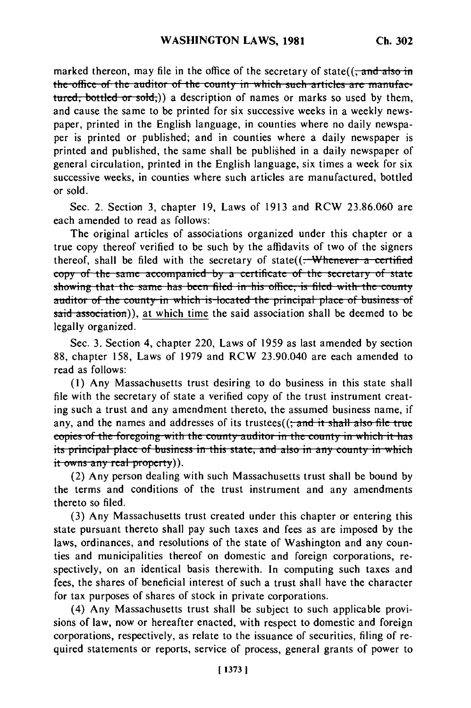marked thereon, may file in the office of the secretary of state( $\frac{1}{2}$  and  $\frac{1}{2}$  and  $\frac{1}{2}$  in the office of the auditor of the county in which such articles are manufaeturn of the contract of the contract of the contract of the contract of the contract of the contract of the contra<br>turned that the contract of the contract of the contract of the contract of the contract of the contract of and cause the same to be printed for six successive weeks in a weekly newspaper, printed in the English language, in counties where no daily newspaper is printed or published; and in counties where a daily newspaper is printed and published, the same shall be published in a daily newspaper of general circulation, printed in the English language, six times a week for six successive weeks, in counties where such articles are manufactured, bottled or sold.

Sec. 2. Section 3, chapter 19, Laws of 1913 and RCW 23.86.060 are each amended to read as follows:

The original articles of associations organized under this chapter or a true copy thereof verified to be such by the affidavits of two of the signers thereof, shall be filed with the secretary of state $(($ . Whenever a certified **copy** of the same accompanied by a certificate of the secretary of state showing that the same has been filed in his office, is filed with the county auditor of the county in which is located the principal place of business of said association)), at which time the said association shall be deemed to be legally organized.

Sec. 3. Section 4, chapter 220, Laws of 1959 as last amended by section 88, chapter 158, Laws of 1979 and RCW 23.90.040 are each amended to read as follows:

(1) Any Massachusetts trust desiring to do business in this state shall file with the secretary of state a verified copy of the trust instrument creating such a trust and any amendment thereto, the assumed business name, if any, and the names and addresses of its trustees((; and it shall also file true copies of the foregoing with the county auditor in the county in which it has **its principal place of business in this state, and also in any county in which** it owns any real property)).

(2) Any person dealing with such Massachusetts trust shall be bound by the terms and conditions of the trust instrument and any amendments thereto so filed.

(3) Any Massachusetts trust created under this chapter or entering this state pursuant thereto shall pay such taxes and fees as are imposed by the laws, ordinances, and resolutions of the state of Washington and any counties and municipalities thereof on domestic and foreign corporations, respectively, on an identical basis therewith. In computing such taxes and fees, the shares of beneficial interest of such a trust shall have the character for tax purposes of shares of stock in private corporations.

(4) Any Massachusetts trust shall be subject to such applicable provisions of law, now or hereafter enacted, with respect to domestic and foreign corporations, respectively, as relate to the issuance of securities, filing of required statements or reports, service of process, general grants of power to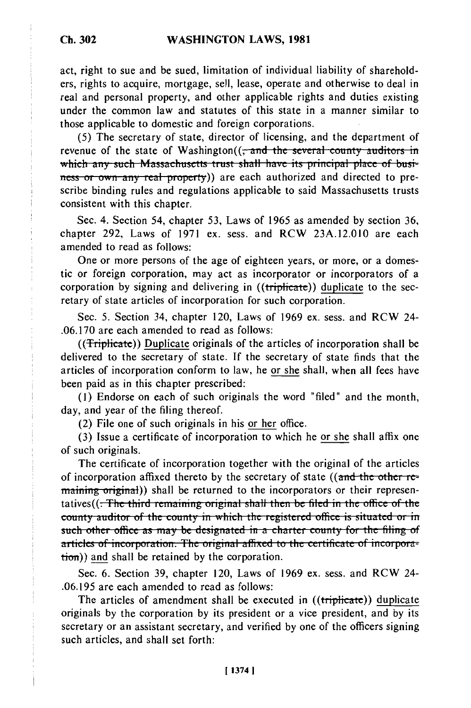act, right to sue and be sued, limitation of individual liability of shareholders, rights to acquire, mortgage, sell, lease, operate and otherwise to deal in real and personal property, and other applicable rights and duties existing under the common law and statutes of this state in a manner similar to those applicable to domestic and foreign corporations.

(5) The secretary of state, director of licensing, and the department of revenue of the state of Washington( $\frac{1}{2}$  and the several county auditors in which any such Massachusetts trust shall have its principal place of business or own any real property)) are each authorized and directed to prescribe binding rules and regulations applicable to said Massachusetts trusts consistent with this chapter.

Sec. 4. Section 54, chapter 53, Laws of 1965 as amended by section 36, chapter 292, Laws of 1971 ex. sess. and RCW 23A.12.010 are each amended to read as follows:

One or more persons of the age of eighteen years, or more, or a domestic or foreign corporation, may act as incorporator or incorporators of a corporation by signing and delivering in ((triplicate)) duplicate to the secretary of state articles of incorporation for such corporation.

Sec. 5. Section 34, chapter 120, Laws of 1969 ex. sess. and RCW 24- .06.170 are each amended to read as follows:

((Triplicate)) Duplicate originals of the articles of incorporation shall be delivered to the secretary of state. If the secretary of state finds that the articles of incorporation conform to law, he or she shall, when all fees have been paid as in this chapter prescribed:

(1) Endorse on each of such originals the word "filed" and the month, day, and year of the filing thereof.

(2) File one of such originals in his or her office.

(3) Issue a certificate of incorporation to which he or she shall affix one of such originals.

The certificate of incorporation together with the original of the articles The certificate of incorporation together with the original of the articles<br>of incorporation affixed thereto by the secretary of state ((and the other reof incorporation affixed thereto by the secretary of state ((and the other representing or their represenmaining original)) shall be returned to the incorporators or their representatives((<del>. The third remaining original shall then be filed in the office of the</del> **county auditor of the county in which the registered office is situated or in such other office as may be designated in a charter county for the filing of** articles of incorporation. The original affixed to the certificate of incorporation)) and shall be retained by the corporation.

Sec. 6. Section 39, chapter 120, Laws of 1969 ex. sess. and RCW 24- .06.195 are each amended to read as follows:

The articles of amendment shall be executed in ((triplicate)) duplicate originals by the corporation by its president or a vice president, and by its secretary or an assistant secretary, and verified by one of the officers signing such articles, and shall set forth:

**Ch. 302**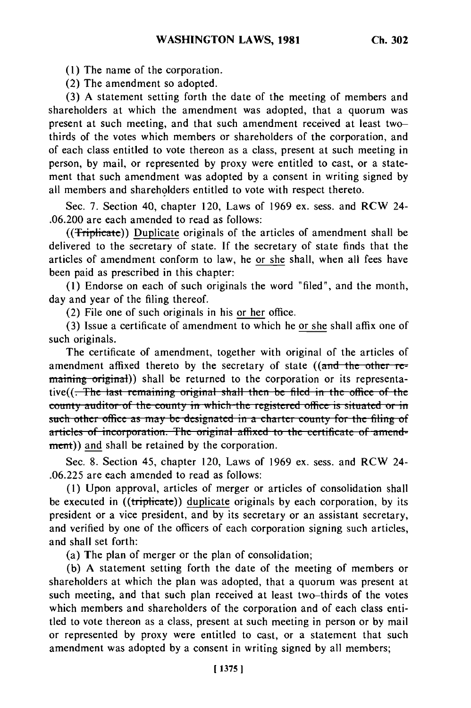**(1) The** name of the corporation.

(2) The amendment so adopted.

(3) A statement setting forth the date of the meeting of members and shareholders at which the amendment was adopted, that a quorum was present at such meeting, and that such amendment received at least twothirds of the votes which members or shareholders of the corporation, and of each class entitled to vote thereon as a class, present at such meeting in person, by mail, or represented by proxy were entitled to cast, or a statement that such amendment was adopted by a consent in writing signed by all members and shareholders entitled to vote with respect thereto.

Sec. 7. Section 40, chapter 120, Laws of 1969 ex. sess. and RCW 24- .06.200 are each amended to read as follows:

((**Triplicate**)) Duplicate originals of the articles of amendment shall be delivered to the secretary of state. If the secretary of state finds that the articles of amendment conform to law, he or she shall, when all fees have been paid as prescribed in this chapter:

(1) Endorse on each of such originals the word "filed", and the month, day and year of the filing thereof.

(2) File one of such originals in his or her office.

(3) Issue a certificate of amendment to which he or she shall affix one of such originals.

The certificate of amendment, together with original of the articles of amendment affixed thereto by the secretary of state ((and the other remaining original)) shall be returned to the corporation or its representa-<br>tive((. The last remaining original shall then be filed in the office of the **county auditor of the county in which the registered office is situated or in such other office as may be designated in a charter county for the filing of** articles of incorporation. The original affixed to the certificate of amend-<br>ment)) and shall be retained by the corporation.

Sec. 8. Section 45, chapter 120, Laws of 1969 ex. sess. and RCW 24- .06.225 are each amended to read as follows:

(1) Upon approval, articles of merger or articles of consolidation shall be executed in ((triplicate)) duplicate originals by each corporation, by its president or a vice president, and by its secretary or an assistant secretary, and verified by one of the officers of each corporation signing such articles, and shall set forth:

(a) The plan of merger or the plan of consolidation;

(b) A statement setting forth the date of the meeting of members or shareholders at which the plan was adopted, that a quorum was present at such meeting, and that such plan received at least two-thirds of the votes which members and shareholders of the corporation and of each class entitled to vote thereon as a class, present at such meeting in person or by mail or represented by proxy were entitled to cast, or a statement that such amendment was adopted by a consent in writing signed by all members;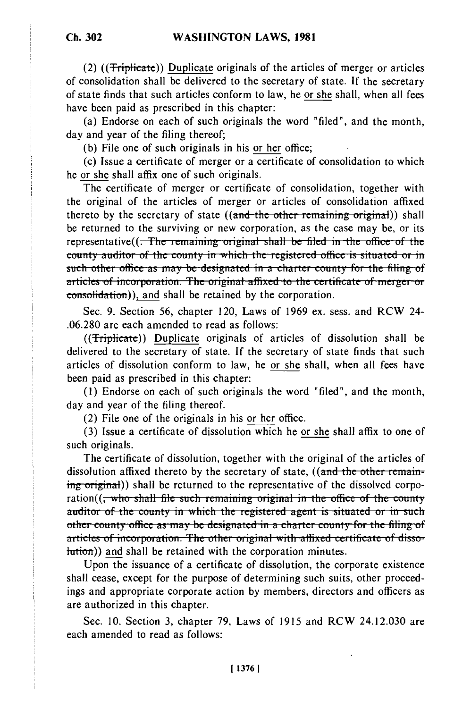(2) ((Triplicate)) Duplicate originals of the articles of merger or articles of consolidation shall be delivered to the secretary of state. **If** the secretary of state finds that such articles conform to law, he or she shall, when all fees have been paid as prescribed in this chapter:

(a) Endorse on each of such originals the word "filed", and the month, day and year of the filing thereof;

(b) File one of such originals in his or her office;

(c) Issue a certificate of merger or a certificate of consolidation to which he or she shall affix one of such originals.

The certificate of merger or certificate of consolidation, together with the original of the articles of merger or articles of consolidation affixed thereto by the secretary of state ((and the other remaining original)) shall be returned to the surviving or new corporation, as the case may be, or its representative((<del>. The remaining original shall be filed in the office of the county auditor of the county in which the registered office is situated or in</del> sounty addition of the county in which the registered office is situated of in<br>such other office as may be designated in a charter county for the filing of such other omce as may be designated in a charter county for the filing of articles of incorporation. The original affixed to the certificate of merger or consolidation)), and shall be retained by the corporation.

Sec. 9. Section 56, chapter 120, Laws of 1969 ex. sess. and RCW 24- .06.280 are each amended to read as follows:

((Triplicate)) Duplicate originals of articles of dissolution shall be delivered to the secretary of state. If the secretary of state finds that such articles of dissolution conform to law, he or she shall, when all fees have been paid as prescribed in this chapter:

(1) Endorse on each of such originals the word "filed", and the month, day and year of the filing thereof.

(2) File one of the originals in his or her office.

(3) Issue a certificate of dissolution which he or she shall affix to one of such originals.

The certificate of dissolution, together with the original of the articles of dissolution affixed thereto by the secretary of state, ((and the other remaining original)) shall be returned to the representative of the dissolved corpo-<br>ration((<del>, who shall file such remaining original in the office of the county</del> auditor of the county in which the registered agent is situated or in such othe, counity ofee as **i-may be Jes...iat..J in** a *h* **te** county **for the** filing u before the state of the state of the other country for the fining to the country for the fining to articles of incorporation. The other original with affixed certificate of disso-<br>hution)) and shall be retained with the corporation minutes.

Upon the issuance of a certificate of dissolution, the corporate existence shall cease, except for the purpose of determining such suits, other proceedings and appropriate corporate action by members, directors and officers as are authorized in this chapter.

Sec. 10. Section 3, chapter 79, Laws of 1915 and RCW 24.12.030 are each amended to read as follows: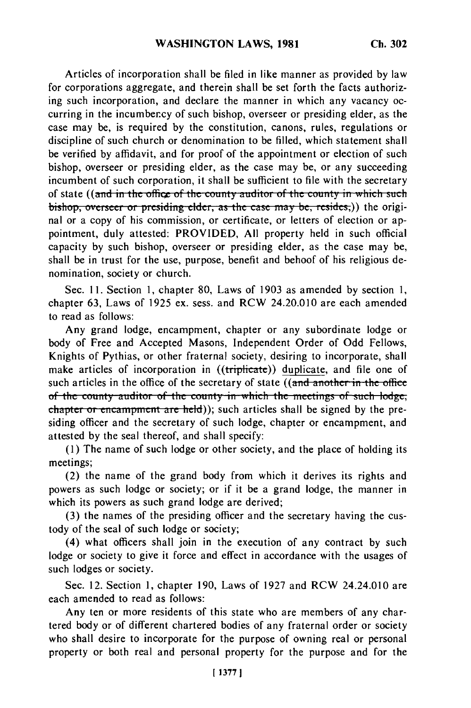Articles of incorporation shall be filed in like manner as provided by law for corporations aggregate, and therein shall be set forth the facts authorizing such incorporation, and declare the manner in which any vacancy occurring in the incumbency of such bishop, overseer or presiding elder, as the case may be, is required by the constitution, canons, rules, regulations or discipline of such church or denomination to be filled, which statement shall be verified by affidavit, and for proof of the appointment or election of such bishop, overseer or presiding elder, as the case may be, or any succeeding incumbent of such corporation, it shall be sufficient to file with the secretary of state ((and in the office of the county auditor of the county in which such bishop, overseer or presiding elder, as the case may be, resides,)) the original or a copy of his commission, or certificate, or letters of election or appointment, duly attested: PROVIDED, All property held in such official capacity by such bishop, overseer or presiding elder, as the case may be, shall be in trust for the use, purpose, benefit and behoof of his religious denomination, society or church.

Sec. 11. Section 1, chapter 80, Laws of 1903 as amended by section 1, chapter 63, Laws of 1925 ex. sess. and RCW 24.20.010 are each amended to read as follows:

Any grand lodge, encampment, chapter or any subordinate lodge or body of Free and Accepted Masons, Independent Order of Odd Fellows, Knights of Pythias, or other fraternal society, desiring to incorporate, shall make articles of incorporation in ((triplicate)) duplicate, and file one of such articles in the office of the secretary of state ((and another in the office of the county auditor of the county in which the meetings of such lodge, **chapter or encampment are held));** such articles shall be signed by the presiding officer and the secretary of such lodge, chapter or encampment, and attested by the seal thereof, and shall specify:

(1) The name of such lodge or other society, and the place of holding its meetings;

(2) the name of the grand body from which it derives its rights and powers as such lodge or society; or if it be a grand lodge, the manner in which its powers as such grand lodge are derived;

(3) the names of the presiding officer and the secretary having the custody of the seal of such lodge or society;

(4) what officers shall join in the execution of any contract by such lodge or society to give it force and effect in accordance with the usages of such lodges or society.

Sec. 12. Section 1, chapter 190, Laws of 1927 and RCW 24.24.010 are each amended to read as follows:

Any ten or more residents of this state who are members of any chartered body or of different chartered bodies of any fraternal order or society who shall desire to incorporate for the purpose of owning real or personal property or both real and personal property for the purpose and for the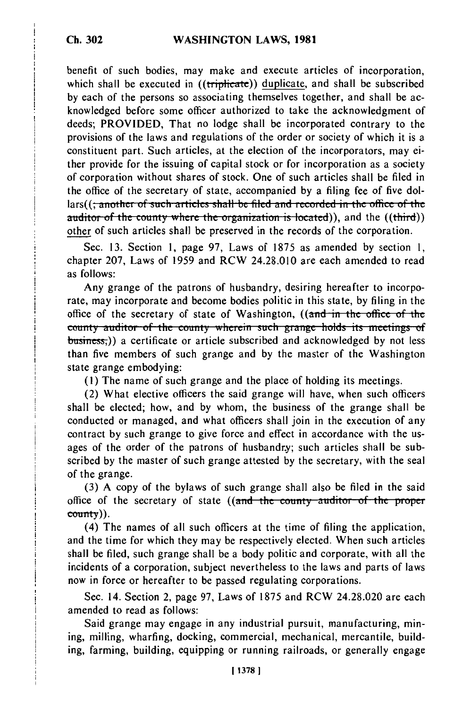benefit of such bodies, may make and execute articles of incorporation, which shall be executed in ((triplicate)) duplicate, and shall be subscribed by each of the persons so associating themselves together, and shall be acknowledged before some officer authorized to take the acknowledgment of deeds; PROVIDED, That no lodge shall be incorporated contrary to the provisions of the laws and regulations of the order or society of which it is a constituent part. Such articles, at the election of the incorporators, may either provide for the issuing of capital stock or for incorporation as a society of corporation without shares of stock. One of such articles shall be filed in the office of the secretary of state, accompanied by a filing fee of five dollars((<del>; another of such articles shall be filed and recorded in the office of the</del> auditor of the county where the organization is located)), and the ((third)) other of such articles shall be preserved in the records of the corporation.

Sec. 13. Section 1, page 97, Laws of 1875 as amended by section 1, chapter 207, Laws of 1959 and RCW 24.28.010 are each amended to read as follows:

Any grange of the patrons of husbandry, desiring hereafter to incorporate, may incorporate and become bodies politic in this state, by filing in the office of the secretary of state of Washington, ((and in the office of the county auditor of the county wherein such grange holds its meetings of  $b$ usiness,)) a certificate or article subscribed and acknowledged by not less than five members of such grange and by the master of the Washington state grange embodying:

**(1)** The name of such grange and the place of holding its meetings.

(2) What elective officers the said grange will have, when such officers shall be elected; how, and by whom, the business of the grange shall be conducted or managed, and what officers shall join in the execution of any contract by such grange to give force and effect in accordance with the usages of the order of the patrons of husbandry; such articles shall be subscribed by the master of such grange attested by the secretary, with the seal of the grange.

(3) A copy of the bylaws of such grange shall also be filed in the said office of the secretary of state ((and the county auditor of the proper county)).

(4) The names of all such officers at the time of filing the application, and the time for which they may be respectively elected. When such articles shall be filed, such grange shall be a body politic and corporate, with all the incidents of a corporation, subject nevertheless to the laws and parts of laws now in force or hereafter to be passed regulating corporations.

Sec. 14. Section 2, page 97, Laws of 1875 and RCW 24.28.020 are each amended to read as follows:

Said grange may engage in any industrial pursuit, manufacturing, mining, milling, wharfing, docking, commercial, mechanical, mercantile, building, farming, building, equipping or running railroads, or generally engage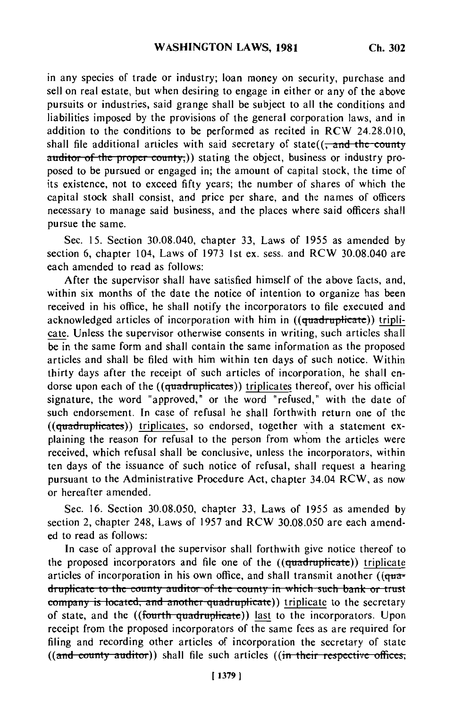in any species of trade or industry; loan money on security, purchase and sell on real estate, but when desiring to engage in either or any of the above pursuits or industries, said grange shall be subject to all the conditions and liabilities imposed by the provisions of the general corporation laws, and in addition to the conditions to be performed as recited in RCW 24.28.010, shall file additional articles with said secretary of state( $\left($ , and the county auditor of the proper county,)) stating the object, business or industry proposed to be pursued or engaged in; the amount of capital stock, the time of its existence, not to exceed fifty years; the number of shares of which the capital stock shall consist, and price per share, and the names of officers necessary to manage said business, and the places where said officers shall pursue the same.

Sec. 15. Section 30.08.040, chapter 33, Laws of 1955 as amended by section 6, chapter 104, Laws of 1973 1st ex. sess. and RCW 30.08.040 are each amended to read as follows:

After the supervisor shall have satisfied himself of the above facts, and, within six months of the date the notice of intention to organize has been received in his office, he shall notify the incorporators to file executed and acknowledged articles of incorporation with him in ((quadruplicate)) triplicate. Unless the supervisor otherwise consents in writing, such articles shall be in the same form and shall contain the same information as the proposed articles and shall be filed with him within ten days of such notice. Within thirty days after the receipt of such articles of incorporation, he shall endorse upon each of the ((quadruplicates)) triplicates thereof, over his official signature, the word "approved," or the word "refused," with the date of such endorsement. In case of refusal he shall forthwith return one of the  $((quadruplicates))$  triplicates, so endorsed, together with a statement explaining the reason for refusal to the person from whom the articles were received, which refusal shall be conclusive, unless the incorporators, within ten days of the issuance of such notice of refusal, shall request a hearing pursuant to the Administrative Procedure Act, chapter 34.04 RCW, as now or hereafter amended.

Sec. 16. Section 30.08.050, chapter 33, Laws of 1955 as amended by section 2, chapter 248, Laws of 1957 and RCW 30.08.050 are each amended to read as follows:

In case of approval the supervisor shall forthwith give notice thereof to the proposed incorporators and file one of the ((quadruplicate)) triplicate articles of incorporation in his own office, and shall transmit another ( $(q<sub>u</sub>a<sub>+</sub>)$ dructes of incorporation in his own once, and shall transmit another ((qu picate to the county auditor of the county in which such bank or trust<br>cases is located, and casthes quadruplicate)) triplicate to the secretary company is located, and another quadruplicate)) inplicate to the secretary of state, and the ((fourth quadruplicate)) last to the incorporators. Upon receipt from the proposed incorporators of the same fees as are required for filing and recording other articles of incorporation the secretary of state ((and county auditor)) shall file such articles ((in their respective offices,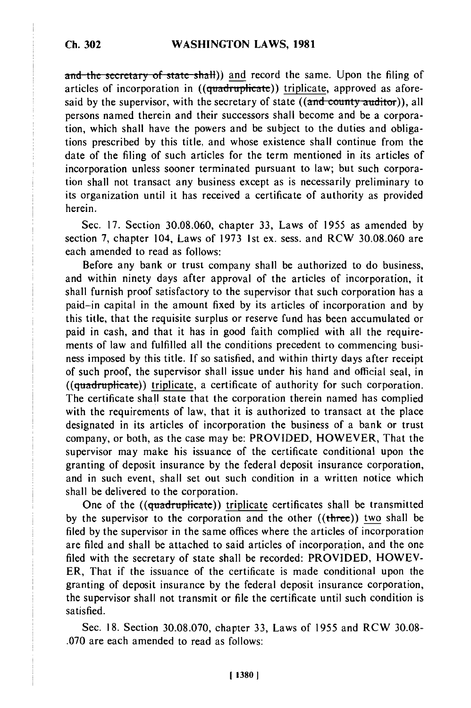and the secretary of state shall)) and record the same. Upon the filing of articles of incorporation in ((quadruplicate)) triplicate, approved as aforesaid by the supervisor, with the secretary of state ((and county auditor)), all persons named therein and their successors shall become and be a corporation, which shall have the powers and be subject to the duties and obligations prescribed by this title, and whose existence shall continue from the date of the filing of such articles for the term mentioned in its articles of incorporation unless sooner terminated pursuant to law; but such corporation shall not transact any business except as is necessarily preliminary to its organization until it has received a certificate of authority as provided herein.

Sec. 17. Section 30.08.060, chapter 33, Laws of 1955 as amended by section 7, chapter 104, Laws of 1973 Ist ex. sess. and RCW 30.08.060 are each amended to read as follows:

Before any bank or trust company shall be authorized to do business, and within ninety days after approval of the articles of incorporation, it shall furnish proof satisfactory to the supervisor that such corporation has a paid-in capital in the amount fixed by its articles of incorporation and by this title, that the requisite surplus or reserve fund has been accumulated or paid in cash, and that it has in good faith complied with all the requirements of law and fulfilled all the conditions precedent to commencing business imposed by this title. If so satisfied, and within thirty days after receipt of such proof, the supervisor shall issue under his hand and official seal, in  $((quadruplicate))$  triplicate, a certificate of authority for such corporation. The certificate shall state that the corporation therein named has complied with the requirements of law, that it is authorized to transact at the place designated in its articles of incorporation the business of a bank or trust company, or both, as the case may be: PROVIDED, HOWEVER, That the supervisor may make his issuance of the certificate conditional upon the granting of deposit insurance by the federal deposit insurance corporation, and in such event, shall set out such condition in a written notice which shall be delivered to the corporation.

One of the ((quadruplicate)) triplicate certificates shall be transmitted by the supervisor to the corporation and the other  $((three))$  two shall be filed by the supervisor in the same offices where the articles of incorporation are filed and shall be attached to said articles of incorporation, and the one filed with the secretary of state shall be recorded: PROVIDED, HOWEV-ER, That if the issuance of the certificate is made conditional upon the granting of deposit insurance by the federal deposit insurance corporation, the supervisor shall not transmit or file the certificate until such condition is satisfied.

Sec. 18. Section 30.08.070, chapter 33, Laws of 1955 and RCW 30.08- .070 are each amended to read as follows: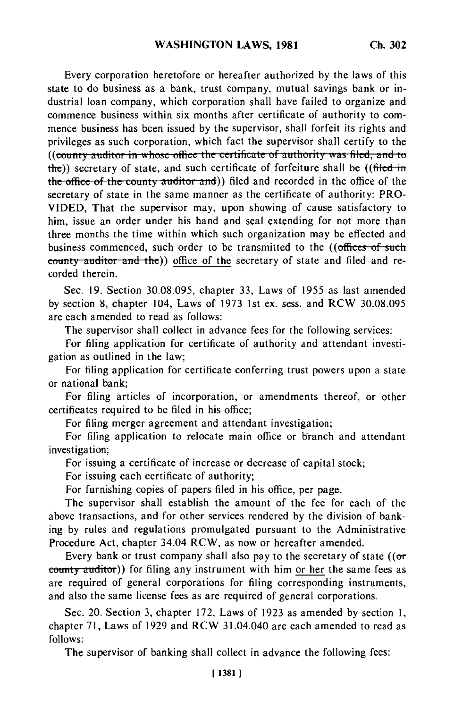Every corporation heretofore or hereafter authorized by the laws of this state to do business as a bank, trust company, mutual savings bank or industrial loan company, which corporation shall have failed to organize and commence business within six months after certificate of authority to commence business has been issued by the supervisor, shall forfeit its rights and privileges as such corporation, which fact the supervisor shall certify to the ((county auditor in whose office the certificate of authority was filed, and to the)) secretary of state, and such certificate of forfeiture shall be ((filed in the office of the county auditor and)) filed and recorded in the office of the secretary of state in the same manner as the certificate of authority: PRO-VIDED, That the supervisor may, upon showing of cause satisfactory to him, issue an order under his hand and seal extending for not more than three months the time within which such organization may be effected and business commenced, such order to be transmitted to the ((offices of such county auditor and the)) office of the secretary of state and filed and recorded therein.

Sec. 19. Section 30.08.095, chapter 33, Laws of 1955 as last amended by section 8, chapter 104, Laws of 1973 1st ex. sess. and RCW 30.08.095 are each amended to read as follows:

The supervisor shall collect in advance fees for the following services:

For filing application for certificate of authority and attendant investigation as outlined in the law;

For filing application for certificate conferring trust powers upon a state or national bank;

For filing articles of incorporation, or amendments thereof, or other certificates required to be filed in his office;

For filing merger agreement and attendant investigation;

For filing application to relocate main office or branch and attendant investigation;

For issuing a certificate of increase or decrease of capital stock;

For issuing each certificate of authority;

For furnishing copies of papers filed in his office, per page.

The supervisor shall establish the amount of the fee for each of the above transactions, and for other services rendered by the division of banking by rules and regulations promulgated pursuant to the Administrative Procedure Act, chapter 34.04 RCW, as now or hereafter amended.

Every bank or trust company shall also pay to the secretary of state  $(6\sigma)$ county auditor)) for filing any instrument with him or her the same fees as are required of general corporations for filing corresponding instruments, and also the same license fees as are required of general corporations.

Sec. 20. Section 3, chapter 172, Laws of 1923 as amended by section 1, chapter 71, Laws of 1929 and RCW 31.04.040 are each amended to read as follows:

The supervisor of banking shall collect in advance the following fees: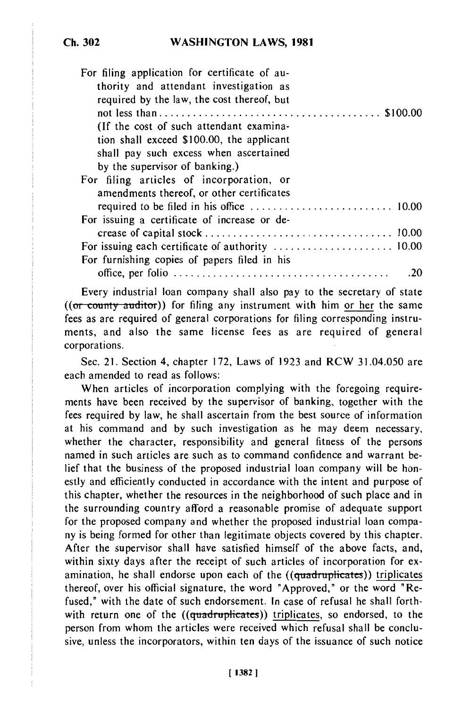| For filing application for certificate of au-<br>thority and attendant investigation as<br>required by the law, the cost thereof, but |    |
|---------------------------------------------------------------------------------------------------------------------------------------|----|
| (If the cost of such attendant examina-                                                                                               |    |
| tion shall exceed \$100.00, the applicant                                                                                             |    |
| shall pay such excess when ascertained                                                                                                |    |
| by the supervisor of banking.)                                                                                                        |    |
| For filing articles of incorporation, or                                                                                              |    |
| amendments thereof, or other certificates                                                                                             |    |
|                                                                                                                                       |    |
| For issuing a certificate of increase or de-                                                                                          |    |
|                                                                                                                                       |    |
|                                                                                                                                       |    |
| For furnishing copies of papers filed in his                                                                                          |    |
|                                                                                                                                       | 20 |

Every industrial loan company shall also pay to the secretary of state  $((or$  county auditor)) for filing any instrument with him or her the same fees as are required of general corporations for filing corresponding instruments, and also the same license fees as are required of general corporations.

Sec. 21. Section 4, chapter 172, Laws of 1923 and RCW 31.04.050 are each amended to read as follows:

When articles of incorporation complying with the foregoing requirements have been received by the supervisor of banking, together with the fees required by law, he shall ascertain from the best source of information at his command and by such investigation as he may deem necessary, whether the character, responsibility and general fitness of the persons named in such articles are such as to command confidence and warrant belief that the business of the proposed industrial loan company will be honestly and efficiently conducted in accordance with the intent and purpose of this chapter, whether the resources in the neighborhood of such place and in the surrounding country afford a reasonable promise of adequate support for the proposed company and whether the proposed industrial loan company is being formed for other than legitimate objects covered by this chapter. After the supervisor shall have satisfied himself of the above facts, and, within sixty days after the receipt of such articles of incorporation for examination, he shall endorse upon each of the ((quadruplicates)) triplicates thereof, over his official signature, the word "Approved," or the word "Refused," with the date of such endorsement. In case of refusal he shall forthwith return one of the ((quadruplicates)) triplicates, so endorsed, to the person from whom the articles were received which refusal shall be conclusive, unless the incorporators, within ten days of the issuance of such notice

**Ch. 302**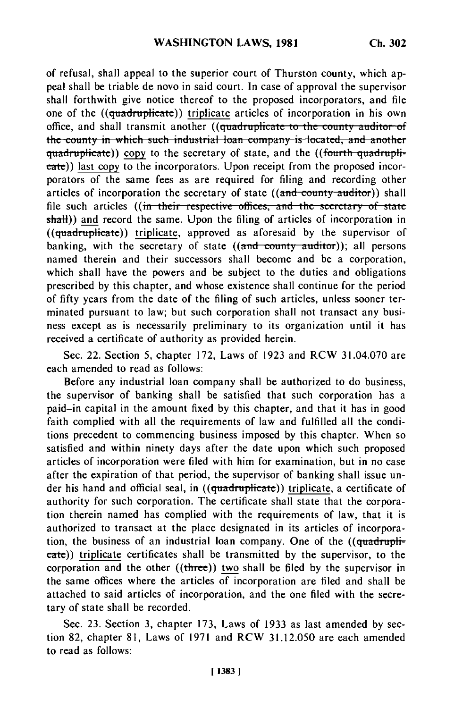of refusal, shall appeal to the superior court of Thurston county, which appeal shall be triable de novo in said court. In case of approval the supervisor shall forthwith give notice thereof to the proposed incorporators, and file one of the ((quadruplicate)) triplicate articles of incorporation in his own office, and shall transmit another ((quadruplicate to the county auditor of the county in which such industrial loan company is located, and another quadruplicate)) copy to the secretary of state, and the ((fourth quadruplieate)) last copy to the incorporators. Upon receipt from the proposed incorporators of the same fees as are required for filing and recording other articles of incorporation the secretary of state ((and county auditor)) shall file such articles ((in their respective offices, and the secretary of state shatt)) and record the same. Upon the filing of articles of incorporation in  $((quadruplicate))$  triplicate, approved as aforesaid by the supervisor of banking, with the secretary of state ((and county auditor)); all persons named therein and their successors shall become and be a corporation, which shall have the powers and be subject to the duties and obligations prescribed by this chapter, and whose existence shall continue for the period of fifty years from the date of the filing of such articles, unless sooner terminated pursuant to law; but such corporation shall not transact any business except as is necessarily preliminary to its organization until it has received a certificate of authority as provided herein.

Sec. 22. Section 5, chapter 172, Laws of 1923 and RCW 31.04.070 are each amended to read as follows:

Before any industrial loan company shall be authorized to do business, the supervisor of banking shall be satisfied that such corporation has a paid-in capital in the amount fixed by this chapter, and that it has in good faith complied with all the requirements of law and fulfilled all the conditions precedent to commencing business imposed by this chapter. When so satisfied and within ninety days after the date upon which such proposed articles of incorporation were filed with him for examination, but in no case after the expiration of that period, the supervisor of banking shall issue under his hand and official seal, in ((quadruplicate)) triplicate, a certificate of authority for such corporation. The certificate shall state that the corporation therein named has complied with the requirements of law, that it is authorized to transact at the place designated in its articles of incorporation, the business of an industrial loan company. One of the ((quadruplieate)) triplicate certificates shall be transmitted by the supervisor, to the corporation and the other ((three)) two shall be filed by the supervisor in the same offices where the articles of incorporation are filed and shall be attached to said articles of incorporation, and the one filed with the secretary of state shall be recorded.

Sec. 23. Section 3, chapter 173, Laws of 1933 as last amended by section 82, chapter 81, Laws of 1971 and RCW 31.12.050 are each amended to read as follows: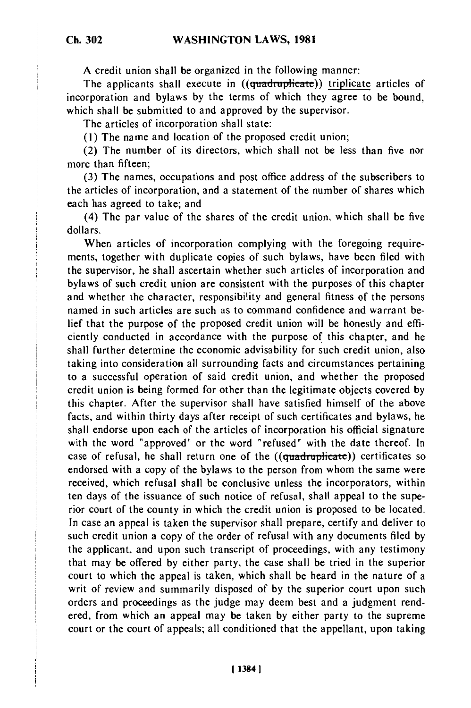A credit union shall be organized in the following manner:

The applicants shall execute in ((quadruplicate)) triplicate articles of incorporation and bylaws by the terms of which they agree to be bound, which shall be submitted to and approved by the supervisor.

The articles of incorporation shall state:

**(I)** The name and location of the proposed credit union;

(2) The number of its directors, which shall not be less than five nor more than fifteen;

(3) The names, occupations and post office address of the subscribers to the articles of incorporation, and a statement of the number of shares which each has agreed to take; and

(4) The par value of the shares of the credit union, which shall be five dollars.

When articles of incorporation complying with the foregoing requirements, together with duplicate copies of such bylaws, have been filed with the supervisor, he shall ascertain whether such articles of incorporation and bylaws of such credit union are consistent with the purposes of this chapter and whether the character, responsibility and general fitness of the persons named in such articles are such as to command confidence and warrant belief that the purpose of the proposed credit union will be honestly and efficiently conducted in accordance with the purpose of this chapter, and he shall further determine the economic advisability for such credit union, also taking into consideration all surrounding facts and circumstances pertaining to a successful operation of said credit union, and whether the proposed credit union is being formed for other than the legitimate objects covered by this chapter. After the supervisor shall have satisfied himself of the above facts, and within thirty days after receipt of such certificates and bylaws, he shall endorse upon each of the articles of incorporation his official signature with the word "approved" or the word "refused" with the date thereof. In case of refusal, he shall return one of the ((quadruplicate)) certificates so endorsed with a copy of the bylaws to the person from whom the same were received, which refusal shall be conclusive unless the incorporators, within ten days of the issuance of such notice of refusal, shall appeal to the superior court of the county in which the credit union is proposed to be located. In case an appeal is taken the supervisor shall prepare, certify and deliver to such credit union a copy of the order of refusal with any documents filed by the applicant, and upon such transcript of proceedings, with any testimony that may be offered by either party, the case shall be tried in the superior court to which the appeal is taken, which shall be heard in the nature of a writ of review and summarily disposed of by the superior court upon such orders and proceedings as the judge may deem best and a judgment rendered, from which an appeal may be taken by either party to the supreme court or the court of appeals; all conditioned that the appellant, upon taking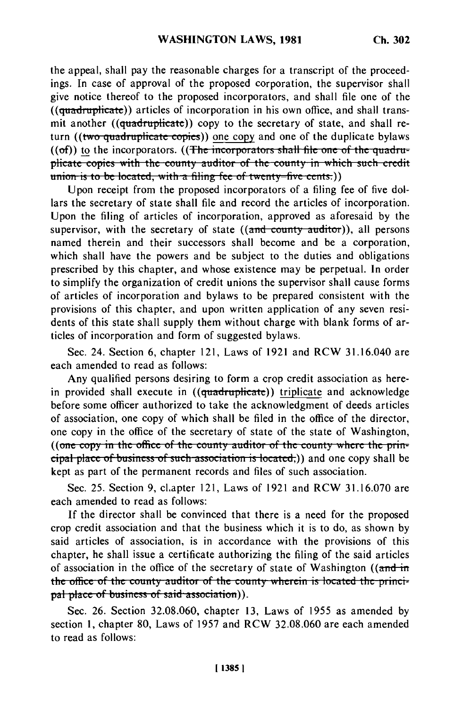the appeal, shall pay the reasonable charges for a transcript of the proceedings. In case of approval of the proposed corporation, the supervisor shall give notice thereof to the proposed incorporators, and shall file one of the  $((quadratic))$  articles of incorporation in his own office, and shall transmit another ((quadruplicate)) copy to the secretary of state, and shall return ((two quadruplicate copies)) one copy and one of the duplicate bylaws  $((of))$  to the incorporators.  $((The *incorporators* shall file one of the *quadru-*)$ plicate copies with the county auditor of the county in which such credit **union is to be located, with a filing fee of twenty-five cents.))** 

Upon receipt from the proposed incorporators of a filing fee of five dollars the secretary of state shall file and record the articles of incorporation. Upon the filing of articles of incorporation, approved as aforesaid by the supervisor, with the secretary of state ((and county auditor)), all persons named therein and their successors shall become and be a corporation, which shall have the powers and be subject to the duties and obligations prescribed by this chapter, and whose existence may be perpetual. In order to simplify the organization of credit unions the supervisor shall cause forms of articles of incorporation and bylaws to be prepared consistent with the provisions of this chapter, and upon written application of any seven residents of this state shall supply them without charge with blank forms of articles of incorporation and form of suggested bylaws.

Sec. 24. Section 6, chapter 121, Laws of 1921 and RCW 31.16.040 are each amended to read as follows:

Any qualified persons desiring to form a crop credit association as herein provided shall execute in  $((quadruplicate))$  triplicate and acknowledge before some officer authorized to take the acknowledgment of deeds articles of association, one copy of which shall be filed in the office of the director, one copy in the office of the secretary of state of the state of Washington, ((one copy in the office of the county auditor of the county where the prin- $\frac{1}{\pi}$  place of business of such association is located;)) and one copy shall be kept as part of the permanent records and files of such association.

Sec. 25. Section 9, cl.apter 121, Laws of 1921 and RCW 31.16.070 are each amended to read as follows:

If the director shall be convinced that there is a need for the proposed crop credit association and that the business which it is to do, as shown by said articles of association, is in accordance with the provisions of this chapter, he shall issue a certificate authorizing the filing of the said articles of association in the office of the secretary of state of Washington ((and in the office of the county auditor of the county wherein is located the principal place of business of said association)).

Sec. 26. Section 32.08.060, chapter 13, Laws of 1955 as amended by section 1, chapter 80, Laws of 1957 and RCW 32.08.060 are each amended to read as follows: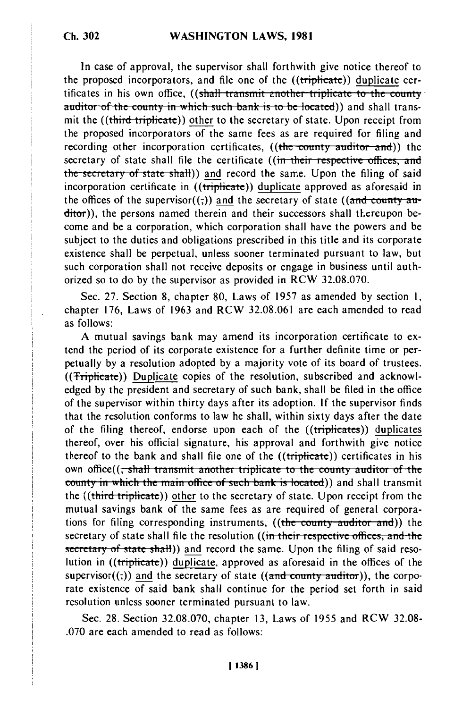In case of approval, the supervisor shall forthwith give notice thereof to the proposed incorporators, and file one of the ((triplicate)) duplicate certificates in his own office, ((shall transmit another triplicate to the county auditor of the county in which such bank is to be located)) and shall transmit the ((third triplicate)) other to the secretary of state. Upon receipt from the proposed incorporators of the same fees as are required for filing and recording other incorporation certificates, ((the county auditor and)) the secretary of state shall file the certificate ((in their respective offices, and the secretary of state shall)) and record the same. Upon the filing of said incorporation certificate in ((triplicate)) duplicate approved as aforesaid in the offices of the supervisor( $(\tau)$ ) and the secretary of state ((and county auditor)), the persons named therein and their successors shall thereupon become and be a corporation, which corporation shall have the powers and be subject to the duties and obligations prescribed in this title and its corporate existence shall be perpetual, unless sooner terminated pursuant to law, but such corporation shall not receive deposits or engage in business until authorized so to do by the supervisor as provided in RCW 32.08.070.

Sec. 27. Section 8, chapter 80, Laws of 1957 as amended by section **1,** chapter 176, Laws of 1963 and RCW 32.08.061 are each amended to read as follows:

A mutual savings bank may amend its incorporation certificate to extend the period of its corporate existence for a further definite time or perpetually by a resolution adopted by a majority vote of its board of trustees. ((Triplicate)) Duplicate copies of the resolution, subscribed and acknowledged by the president and secretary of such bank, shall be filed in the office of the supervisor within thirty days after its adoption. If the supervisor finds that the resolution conforms to law he shall, within sixty days after the date of the filing thereof, endorse upon each of the ((triplicates)) duplicates thereof, over his official signature, his approval and forthwith give notice thereof to the bank and shall file one of the ((triplicate)) certificates in his own office((<del>, shall transmit another triplicate to the county auditor of the</del> county in which the main office of such bank is located)) and shall transmit the ((third triplicate)) other to the secretary of state. Upon receipt from the mutual savings bank of the same fees as are required of general corporations for filing corresponding instruments, ((the county auditor and)) the secretary of state shall file the resolution ((in their respective offices, and the secretary of state shall)) and record the same. Upon the filing of said resolution in ((triplicate)) duplicate, approved as aforesaid in the offices of the supervisor( $($ ;)) and the secretary of state ((and county auditor)), the corporate existence of said bank shall continue for the period set forth in said resolution unless sooner terminated pursuant to law.

Sec. 28. Section 32.08.070, chapter 13, Laws of **1955** and RCW 32.08- .070 are each amended to read as follows: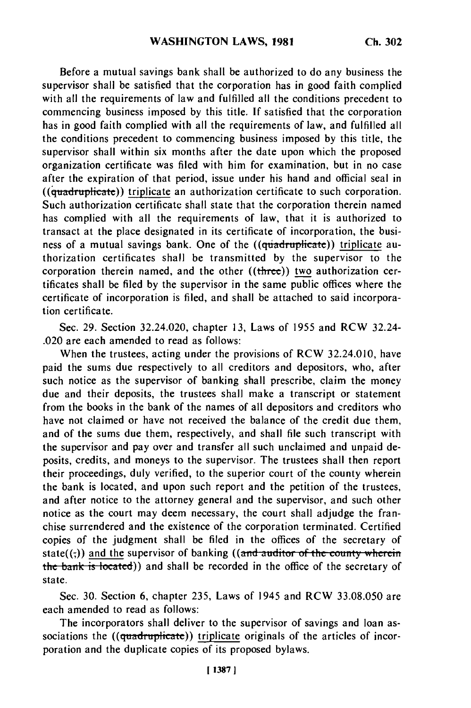Before a mutual savings bank shall be authorized to do any business the supervisor shall be satisfied that the corporation has in good faith complied with all the requirements of law and fulfilled all the conditions precedent to commencing business imposed by this title. If satisfied that the corporation has in good faith complied with all the requirements of law, and fulfilled all the conditions precedent to commencing business imposed by this title, the supervisor shall within six months after the date upon which the proposed organization certificate was filed with him for examination, but in no case after the expiration of that period, issue under his hand and official seal in  $((\dot{q}uadruplicate))$  triplicate an authorization certificate to such corporation. Such authorization certificate shall state that the corporation therein named has complied with all the requirements of law, that it is authorized to transact at the place designated in its certificate of incorporation, the business of a mutual savings bank. One of the  $((\text{quadruplicate}) )$  triplicate authorization certificates shall be transmitted by the supervisor to the corporation therein named, and the other ((three)) two authorization certificates shall be filed by the supervisor in the same public offices where the certificate of incorporation is filed, and shall be attached to said incorporation certificate.

Sec. 29. Section 32.24.020, chapter 13, Laws of 1955 and RCW 32.24- .020 are each amended to read as follows:

When the trustees, acting under the provisions of RCW 32.24.010, have paid the sums due respectively to all creditors and depositors, who, after such notice as the supervisor of banking shall prescribe, claim the money due and their deposits, the trustees shall make a transcript or statement from the books in the bank of the names of all depositors and creditors who have not claimed or have not received the balance of the credit due them, and of the sums due them, respectively, and shall file such transcript with the supervisor and pay over and transfer all such unclaimed and unpaid deposits, credits, and moneys to the supervisor. The trustees shall then report their proceedings, duly verified, to the superior court of the county wherein the bank is located, and upon such report and the petition of the trustees, and after notice to the attorney general and the supervisor, and such other notice as the court may deem necessary, the court shall adjudge the franchise surrendered and the existence of the corporation terminated. Certified copies of the judgment shall be filed in the offices of the secretary of state( $(\cdot, \cdot)$ ) and the supervisor of banking ((and auditor of the county wherein the bank is located)) and shall be recorded in the office of the secretary of state.

Sec. 30. Section 6, chapter 235, Laws of 1945 and RCW 33.08.050 are each amended to read as follows:

The incorporators shall deliver to the supervisor of savings and loan associations the  $((quadruplicate))$  triplicate originals of the articles of incorporation and the duplicate copies of its proposed bylaws.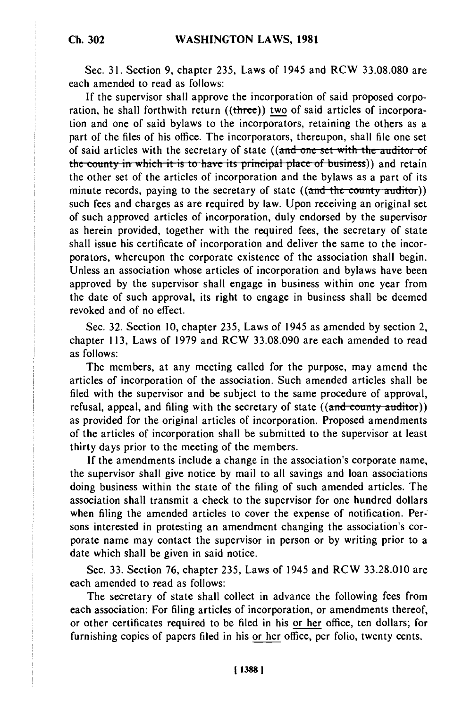Sec. 31. Section 9, chapter 235, Laws of 1945 and RCW 33.08.080 are each amended to read as follows:

If the supervisor shall approve the incorporation of said proposed corporation, he shall forthwith return ((three)) two of said articles of incorporation and one of said bylaws to the incorporators, retaining the others as a part of the files of his office. The incorporators, thereupon, shall file one set of said articles with the secretary of state ((and one set with the auditor of the county in which it is to have its principal place of business)) and retain the other set of the articles of incorporation and the bylaws as a part of its minute records, paying to the secretary of state ((and the county auditor)) such fees and charges as are required by law. Upon receiving an original set of such approved articles of incorporation, duly endorsed by the supervisor as herein provided, together with the required fees, the secretary of state shall issue his certificate of incorporation and deliver the same to the incorporators, whereupon the corporate existence of the association shall begin. Unless an association whose articles of incorporation and bylaws have been approved by the supervisor shall engage in business within one year from the date of such approval, its right to engage in business shall be deemed revoked and of no effect.

Sec. 32. Section 10, chapter 235, Laws of 1945 as amended by section 2, chapter 113, Laws of 1979 and RCW 33.08.090 are each amended to read as follows:

The members, at any meeting called for the purpose, may amend the articles of incorporation of the association. Such amended articles shall be filed with the supervisor and be subject to the same procedure of approval, refusal, appeal, and filing with the secretary of state ((and couity auditoi)) as provided for the original articles of incorporation. Proposed amendments of the articles of incorporation shall be submitted to the supervisor at least thirty days prior to the meeting of the members.

If the amendments include a change in the association's corporate name, the supervisor shall give notice by mail to all savings and loan associations doing business within the state of the filing of such amended articles. The association shall transmit a check to the supervisor for one hundred dollars when filing the amended articles to cover the expense of notification. Persons interested in protesting an amendment changing the association's corporate name may contact the supervisor in person or by writing prior to a date which shall be given in said notice.

Sec. 33. Section 76, chapter 235, Laws of 1945 and RCW 33.28.010 are each amended to read as follows:

The secretary of state shall collect in advance the following fees from each association: For filing articles of incorporation, or amendments thereof, or other certificates required to be filed in his or her office, ten dollars; for furnishing copies of papers filed in his or her office, per folio, twenty cents.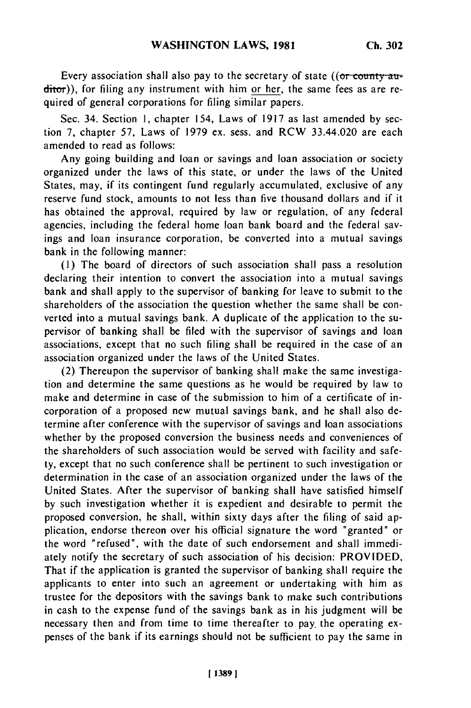Every association shall also pay to the secretary of state (( $\sigma$  county auditor)), for filing any instrument with him or her, the same fees as are required of general corporations for filing similar papers.

Sec. 34. Section 1, chapter 154, Laws of 1917 as last amended by section 7, chapter 57, Laws of 1979 ex. sess. and RCW 33.44.020 are each amended to read as follows:

Any going building and loan or savings and loan association or society organized under the laws of this state, or under the laws of the United States, may, if its contingent fund regularly accumulated, exclusive of any reserve fund stock, amounts to not less than five thousand dollars and if it has obtained the approval, required by law or regulation, of any federal agencies, including the federal home loan bank board and the federal savings and loan insurance corporation, be converted into a mutual savings bank in the following manner:

**(1)** The board of directors of such association shall pass a resolution declaring their intention to convert the association into a mutual savings bank and shall apply to the supervisor of banking for leave to submit to the shareholders of the association the question whether the same shall be converted into a mutual savings bank. A duplicate of the application to the supervisor of banking shall be filed with the supervisor of savings and loan associations, except that no such filing shall be required in the case of an association organized under the laws of the United States.

(2) Thereupon the supervisor of banking shall make the same investigation and determine the same questions as he would be required by law to make and determine in case of the submission to him of a certificate of incorporation of a proposed new mutual savings bank, and he shall also determine after conference with the supervisor of savings and loan associations whether by the proposed conversion the business needs and conveniences of the shareholders of such association would be served with facility and safety, except that no such conference shall be pertinent to such investigation or determination in the case of an association organized under the laws of the United States. After the supervisor of banking shall have satisfied himself by such investigation whether it is expedient and desirable to permit the proposed conversion, he shall, within sixty days after the filing of said application, endorse thereon over his official signature the word "granted" or the word "refused", with the date of such endorsement and shall immediately notify the secretary of such association of his decision: PROVIDED, That if the application is granted the supervisor of banking shall require the applicants to enter into such an agreement or undertaking with him as trustee for the depositors with the savings bank to make such contributions in cash to the expense fund of the savings bank as in his judgment will be necessary then and from time to time thereafter to pay. the operating expenses of the bank if its earnings should not be sufficient to pay the same in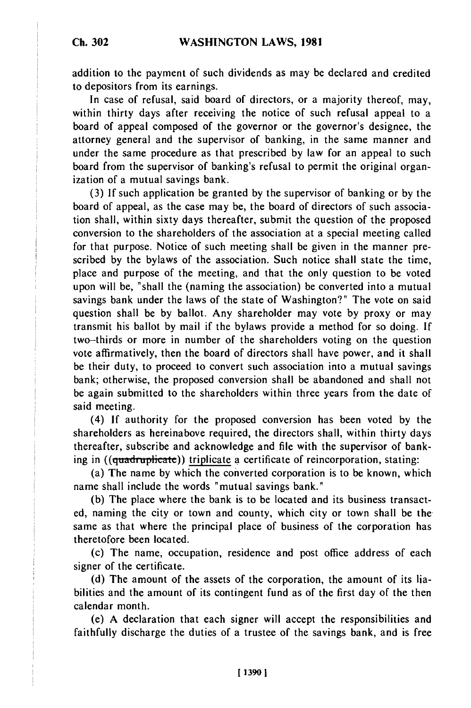addition to the payment of such dividends as may be declared and credited to depositors from its earnings.

In case of refusal, said board of directors, or a majority thereof, may, within thirty days after receiving the notice of such refusal appeal to a board of appeal composed of the governor or the governor's designee, the attorney general and the supervisor of banking, in the same manner and under the same procedure as that prescribed by law for an appeal to such board from the supervisor of banking's refusal to permit the original organization of a mutual savings bank.

(3) If such application be granted by the supervisor of banking or by the board of appeal, as the case may be, the board of directors of such association shall, within sixty days thereafter, submit the question of the proposed conversion to the shareholders of the association at a special meeting called for that purpose. Notice of such meeting shall be given in the manner prescribed by the bylaws of the association. Such notice shall state the time, place and purpose of the meeting, and that the only question to be voted upon will be, "shall the (naming the association) be converted into a mutual savings bank under the laws of the state of Washington?" The vote on said question shall be by ballot. Any shareholder may vote by proxy or may transmit his ballot by mail if the bylaws provide a method for so doing. If two-thirds or more in number of the shareholders voting on the question vote affirmatively, then the board of directors shall have power, and it shall be their duty, to proceed to convert such association into a mutual savings bank; otherwise, the proposed conversion shall be abandoned and shall not be again submitted to the shareholders within three years from the date of said meeting.

(4) If authority for the proposed conversion has been voted by the shareholders as hereinabove required, the directors shall, within thirty days thereafter, subscribe and acknowledge and file with the supervisor of banking in ((quadruplicate)) triplicate a certificate of reincorporation, stating:

(a) The name by which the converted corporation is to be known, which name shall include the words "mutual savings bank."

(b) The place where the bank is to be located and its business transacted, naming the city or town and county, which city or town shall be the same as that where the principal place of business of the corporation has theretofore been located.

(c) The name, occupation, residence and post office address of each signer of the certificate.

(d) The amount of the assets of the corporation, the amount of its liabilities and the amount of its contingent fund as of the first day of the then calendar month.

(e) A declaration that each signer will accept the responsibilities and faithfully discharge the duties of a trustee of the savings bank, and is free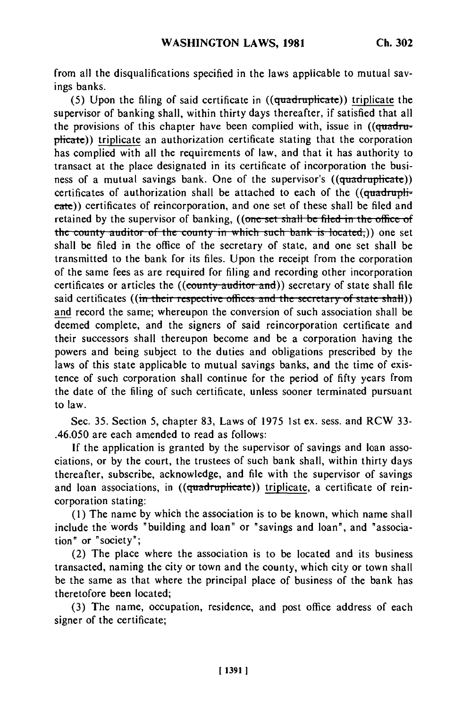from all the disqualifications specified in the laws applicable to mutual savings banks.

(5) Upon the filing of said certificate in  $((quadruplicate))$  triplicate the supervisor of banking shall, within thirty days thereafter, if satisfied that all the provisions of this chapter have been complied with, issue in  $((quadrut$ plicate)) triplicate an authorization certificate stating that the corporation has complied with all the requirements of law, and that it has authority to transact at the place designated in its certificate of incorporation the business of a mutual savings bank. One of the supervisor's  $((quadrublicate))$ certificates of authorization shall be attached to each of the  $((quadrupli\overline{\cdot})$ eate)) certificates of reincorporation, and one set of these shall be filed and retained by the supervisor of banking, ((one set shall be filed in the office of **the county auditor of the county in which such bank is located,)) one set** shall be filed in the office of the secretary of state, and one set shall be transmitted to the bank for its files. Upon the receipt from the corporation of the same fees as are required for filing and recording other incorporation certificates or articles the **((county auditor and))** secretary of state shall file said certificates ((in their respective offices and the secretary of state shall)) and record the same; whereupon the conversion of such association shall be deemed complete, and the signers of said reincorporation certificate and their successors shall thereupon become and be a corporation having the powers and being subject to the duties and obligations prescribed by the laws of this state applicable to mutual savings banks, and the time of existence of such corporation shall continue for the period of fifty years from the date of the filing of such certificate, unless sooner terminated pursuant to law.

Sec. 35. Section 5, chapter 83, Laws of 1975 1st ex. sess. and RCW 33- .46.050 are each amended to read as follows:

If the application is granted by the supervisor of savings and loan associations, or by the court, the trustees of such bank shall, within thirty days thereafter, subscribe, acknowledge, and file with the supervisor of savings and loan associations, in ((quadruplicate)) triplicate, a certificate of reincorporation stating:

(1) The name by which the association is to be known, which name shall include the words "building and loan" or "savings and loan", and "association" or "society";

(2) The place where the association is to be located and its business transacted, naming the city or town and the county, which city or town shall be the same as that where the principal place of business of the bank has theretofore been located;

(3) The name, occupation, residence, and post office address of each signer of the certificate;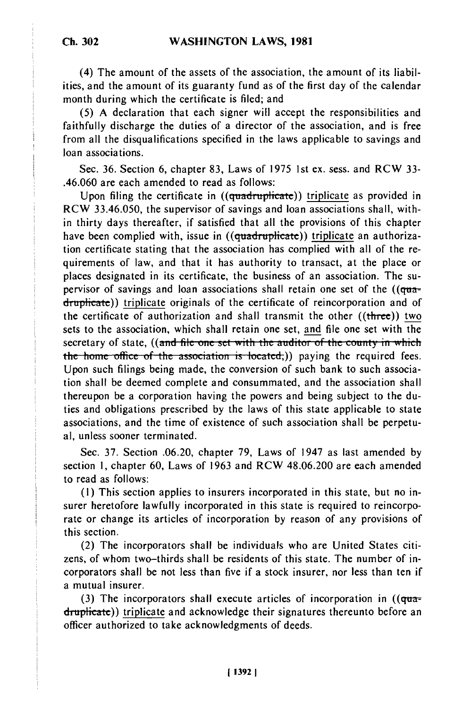**Ch. 302**

(4) The amount of the assets of the association, the amount of its liabilities, and the amount of its guaranty fund as of the first day of the calendar month during which the certificate is filed; and

(5) A declaration that each signer will accept the responsibilities and faithfully discharge the duties of a director of the association, and is free from all the disqualifications specified in the laws applicable to savings and loan associations.

Sec. 36. Section 6, chapter 83, Laws of 1975 1st ex. sess. and RCW 33- .46.060 are each amended to read as follows:

Upon filing the certificate in ((quadruplicate)) triplicate as provided in RCW 33.46.050, the supervisor of savings and loan associations shall, within thirty days thereafter, if satisfied that all the provisions of this chapter have been complied with, issue in ((quadruplicate)) triplicate an authorization certificate stating that the association has complied with all of the requirements of law, and that it has authority to transact, at the place or places designated in its certificate, the business of an association. The supervisor of savings and loan associations shall retain one set of the  $((q<sub>tar</sub>$ druplicate)) triplicate originals of the certificate of reincorporation and of the certificate of authorization and shall transmit the other  $((**three**))$  two sets to the association, which shall retain one set, and file one set with the secretary of state, ((and file one set with the auditor of the county in which the home office of the association is located,)) paying the required fees. Upon such filings being made, the conversion of such bank to such association shall be deemed complete and consummated, and the association shall thereupon be a corporation having the powers and being subject to the duties and obligations prescribed by the laws of this state applicable to state associations, and the time of existence of such association shall be perpetual, unless sooner terminated.

Sec. 37. Section .06.20, chapter 79, Laws of 1947 as last amended by section **1,** chapter 60, Laws of 1963 and RCW 48.06.200 are each amended to read as follows:

**(1)** This section applies to insurers incorporated in this state, but no insurer heretofore lawfully incorporated in this state is required to reincorporate or change its articles of incorporation by reason of any provisions of this section.

(2) The incorporators shall be individuals who are United States citizens, of whom two-thirds shall be residents of this state. The number of incorporators shall be not less than five if a stock insurer, nor less than ten if a mutual insurer.

(3) The incorporators shall execute articles of incorporation in  $((qua$ druplicate)) triplicate and acknowledge their signatures thereunto before an officer authorized to take acknowledgments of deeds.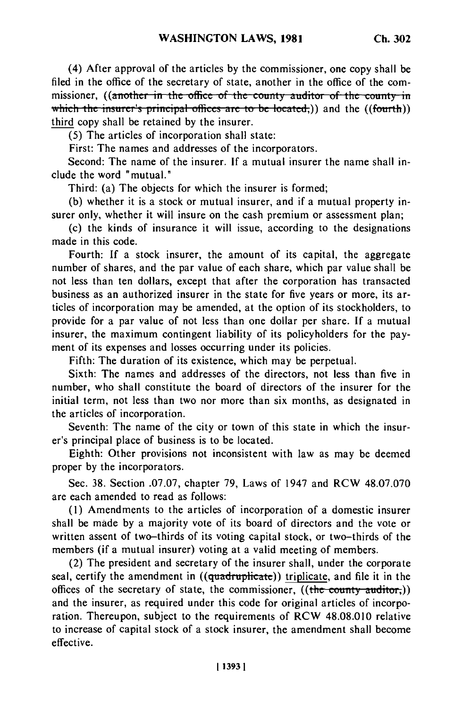(4) After approval of the articles by the commissioner, one copy shall be filed in the office of the secretary of state, another in the office of the commissioner, ((another in the office of the county auditor of the county in which the insurer's principal offices are to be located;)) and the ((fourth)) third copy shall be retained by the insurer.

(5) The articles of incorporation shall state:

First: The names and addresses of the incorporators.

Second: The name of the insurer. If a mutual insurer the name shall include the word "mutual."

Third: (a) The objects for which the insurer is formed;

(b) whether it is a stock or mutual insurer, and if a mutual property insurer only, whether it will insure on the cash premium or assessment plan;

(c) the kinds of insurance it will issue, according to the designations made in this code.

Fourth: If a stock insurer, the amount of its capital, the aggregate number of shares, and the par value of each share, which par value shall be not less than ten dollars, except that after the corporation has transacted business as an authorized insurer in the state for five years or more, its articles of incorporation may be amended, at the option of its stockholders, to provide for a par value of not less than one dollar per share. If a mutual insurer, the maximum contingent liability of its policyholders for the payment of its expenses and losses occurring under its policies.

Fifth: The duration of its existence, which may be perpetual.

Sixth: The names and addresses of the directors, not less than five in number, who shall constitute the board of directors of the insurer for the initial term, not less than two nor more than six months, as designated in the articles of incorporation.

Seventh: The name of the city or town of this state in which the insurer's principal place of business is to be located.

Eighth: Other provisions not inconsistent with law as may be deemed proper by the incorporators.

Sec. 38. Section .07.07, chapter 79, Laws of 1947 and RCW 48.07.070 are each amended to read as follows:

(1) Amendments to the articles of incorporation of a domestic insurer shall be made by a majority vote of its board of directors and the vote or written assent of two-thirds of its voting capital stock, or two-thirds of the members (if a mutual insurer) voting at a valid meeting of members.

(2) The president and secretary of the insurer shall, under the corporate seal, certify the amendment in  $((quadruplicate))$  triplicate, and file it in the offices of the secretary of state, the commissioner,  $((the$  county auditor,)) and the insurer, as required under this code for original articles of incorporation. Thereupon, subject to the requirements of RCW 48.08.010 relative to increase of capital stock of a stock insurer, the amendment shall become effective.